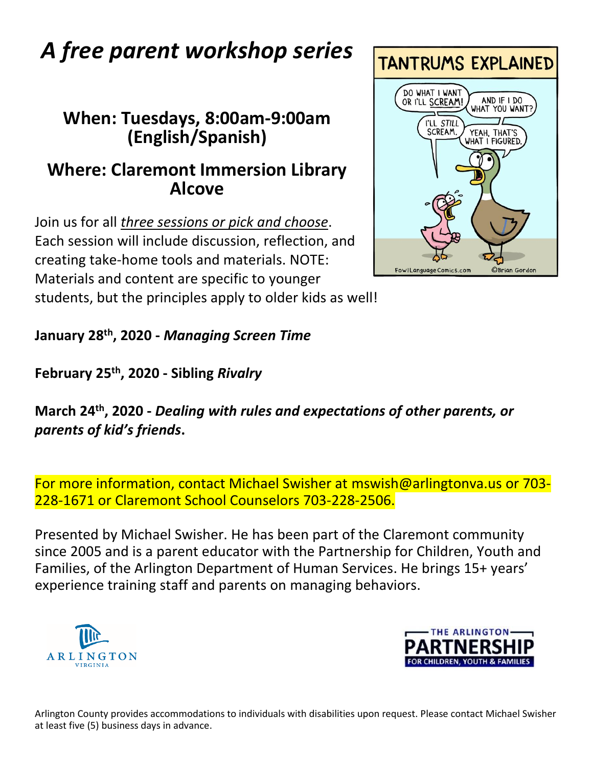# *A free parent workshop series*

#### **When: Tuesdays, 8:00am-9:00am (English/Spanish)**

#### **Where: Claremont Immersion Library Alcove**

Join us for all *three sessions or pick and choose*. Each session will include discussion, reflection, and creating take-home tools and materials. NOTE: Materials and content are specific to younger students, but the principles apply to older kids as well!

**January 28th, 2020 -** *Managing Screen Time*

**February 25th, 2020 - Sibling** *Rivalry*

**March 24th, 2020 -** *Dealing with rules and expectations of other parents, or parents of kid's friends***.**

For more information, contact Michael Swisher at [mswish@arlingtonva.us](mailto:mswish@arlingtonva.us) or 703- 228-1671 or Claremont School Counselors 703-228-2506.

Presented by Michael Swisher. He has been part of the Claremont community since 2005 and is a parent educator with the Partnership for Children, Youth and Families, of the Arlington Department of Human Services. He brings 15+ years' experience training staff and parents on managing behaviors.







Arlington County provides accommodations to individuals with disabilities upon request. Please contact Michael Swisher at least five (5) business days in advance.